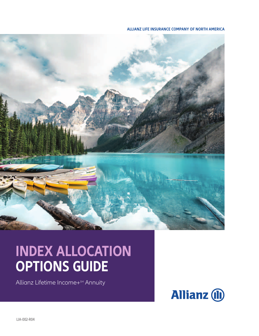**ALLIANZ LIFE INSURANCE COMPANY OF NORTH AMERICA**



## **INDEX ALLOCATION OPTIONS GUIDE**

Allianz Lifetime Income+<sup>SM</sup> Annuity



LIA-002-R04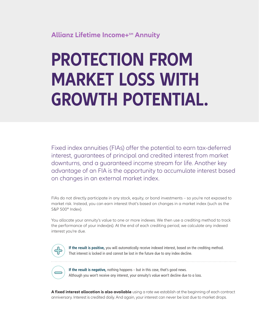### **Allianz Lifetime Income+SM Annuity**

# **PROTECTION FROM MARKET LOSS WITH GROWTH POTENTIAL.**

Fixed index annuities (FIAs) offer the potential to earn tax-deferred interest, guarantees of principal and credited interest from market downturns, and a guaranteed income stream for life. Another key advantage of an FIA is the opportunity to accumulate interest based on changes in an external market index.

FIAs do not directly participate in any stock, equity, or bond investments – so you're not exposed to market risk. Instead, you can earn interest that's based on changes in a market index (such as the S&P 500® Index).

You allocate your annuity's value to one or more indexes. We then use a crediting method to track the performance of your index(es). At the end of each crediting period, we calculate any indexed interest you're due.



**If the result is positive,** you will automatically receive indexed interest, based on the crediting method. That interest is locked in and cannot be lost in the future due to any index decline.



**If the result is negative,** nothing happens – but in this case, that's good news. Although you won't receive any interest, your annuity's value won't decline due to a loss.

**A fixed interest allocation is also available** using a rate we establish at the beginning of each contract anniversary. Interest is credited daily. And again, your interest can never be lost due to market drops.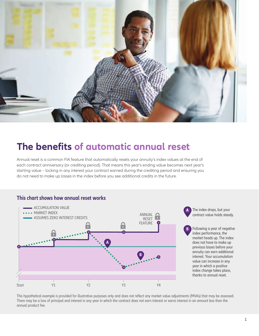

### **The benefits of automatic annual reset**

Annual reset is a common FIA feature that automatically resets your annuity's index values at the end of each contract anniversary (or crediting period). That means this year's ending value becomes next year's starting value – locking in any interest your contract earned during the crediting period and ensuring you do not need to make up losses in the index before you see additional credits in the future.

### **This chart shows how annual reset works**



The index drops, but your contract value holds steady.

**B** Following a year of negative index performance, the market heads up. The index does not have to make up previous losses before your annuity can earn additional interest. Your accumulation value can increase in any year in which a positive index change takes place, thanks to annual reset.

This hypothetical example is provided for illustrative purposes only and does not reflect any market value adjustments (MVAs) that may be assessed. There may be a loss of principal and interest in any year in which the contract does not earn interest or earns interest in an amount less than the annual product fee.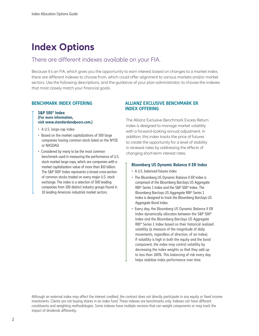### **Index Options**

### There are different indexes available on your FIA.

Because it's an FIA, which gives you the opportunity to earn interest based on changes to a market index, there are different indexes to choose from, which could offer alignment to various markets and/or market sectors. Use the following descriptions, and the guidance of your plan administrator, to choose the indexes that most closely match your financial goals.

#### **S&P 500® Index (For more information, visit www.standardandpoors.com.)**

- A U.S. large-cap index
- Based on the market capitalizations of 500 large companies having common stock listed on the NYSE or NASDAQ
- Considered by many to be the most common benchmark used in measuring the performance of U.S. stock market large-caps, which are companies with a market capitalization value of more than \$10 billion. The S&P 500® Index represents a broad cross-section of common stocks traded on every major U.S. stock exchange. The index is a selection of 500 leading companies from 100 distinct industry groups found in 10 leading American industrial market sectors.

#### **BENCHMARK INDEX OFFERING ALLIANZ EXCLUSIVE BENCHMARK ER INDEX OFFERING**

The Allianz Exclusive Benchmark Excess Return index is designed to manage market volatility with a forward-looking annual adjustment. In addition, this index tracks the price of futures to create the opportunity for a level of stability in renewal rates by addressing the effects of changing short-term interest rates.

#### **Bloomberg US Dynamic Balance II ER Index**

- A U.S. balanced futures index
- The Bloomberg US Dynamic Balance II ER Index is comprised of the Bloomberg Barclays US Aggregate RBI® Series 1 Index and the S&P 500® Index. The Bloomberg Barclays US Aggregate RBI® Series 1 Index is designed to track the Bloomberg Barclays US Aggregate Bond Index.
- Every day, the Bloomberg US Dynamic Balance II ER Index dynamically allocates between the S&P 500® Index and the Bloomberg Barclays US Aggregate RBI® Series 1 Index based on their historical realized volatility (a measure of the magnitude of daily movements, regardless of direction, of an index). If volatility is high in both the equity and the bond component, the index may control volatility by decreasing the index weights so that they add up to less than 100%. This balancing of risk every day helps stabilize index performance over time.

Although an external index may affect the interest credited, the contract does not directly participate in any equity or fixed income investments. Clients are not buying shares in an index fund. These indexes are benchmarks only. Indexes can have different constituents and weighting methodologies. Some indexes have multiple versions that can weight components or may track the impact of dividends differently.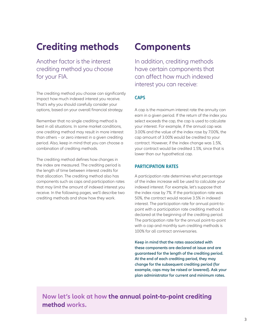### **Crediting methods**

Another factor is the interest crediting method you choose for your FIA.

The crediting method you choose can significantly impact how much indexed interest you receive. That's why you should carefully consider your options, based on your overall financial strategy.

Remember that no single crediting method is best in all situations. In some market conditions, one crediting method may result in more interest than others – or zero interest in a given crediting period. Also, keep in mind that you can choose a combination of crediting methods.

The crediting method defines how changes in the index are measured. The crediting period is the length of time between interest credits for that allocation. The crediting method also has components such as caps and participation rates that may limit the amount of indexed interest you receive. In the following pages, we'll describe two crediting methods and show how they work.

### **Components**

In addition, crediting methods have certain components that can affect how much indexed interest you can receive:

### **CAPS**

A cap is the maximum interest rate the annuity can earn in a given period. If the return of the index you select exceeds the cap, the cap is used to calculate your interest. For example, if the annual cap was 3.00% and the value of the index rose by 7.00%, the cap amount of 3.00% would be credited to your contract. However, if the index change was 1.5%, your contract would be credited 1.5%, since that is lower than our hypothetical cap.

#### **PARTICIPATION RATES**

A participation rate determines what percentage of the index increase will be used to calculate your indexed interest. For example, let's suppose that the index rose by 7%. If the participation rate was 50%, the contract would receive 3.5% in indexed interest. The participation rate for annual point-topoint with a participation rate crediting method is declared at the beginning of the crediting period. The participation rate for the annual point-to-point with a cap and monthly sum crediting methods is 100% for all contract anniversaries.

**Keep in mind that the rates associated with these components are declared at issue and are guaranteed for the length of the crediting period. At the end of each crediting period, they may change for the subsequent crediting period (for example, caps may be raised or lowered). Ask your plan administrator for current and minimum rates.**

**Now let's look at how the annual point-to-point crediting method works.**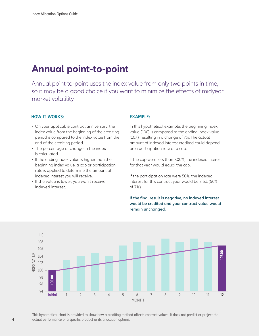### **Annual point-to-point**

Annual point-to-point uses the index value from only two points in time, so it may be a good choice if you want to minimize the effects of midyear market volatility.

#### **HOW IT WORKS:**

- On your applicable contract anniversary, the index value from the beginning of the crediting period is compared to the index value from the end of the crediting period.
- The percentage of change in the index is calculated.
- If the ending index value is higher than the beginning index value, a cap or participation rate is applied to determine the amount of indexed interest you will receive.
- If the value is lower, you won't receive indexed interest.

#### **EXAMPLE:**

In this hypothetical example, the beginning index value (100) is compared to the ending index value (107), resulting in a change of 7%. The actual amount of indexed interest credited could depend on a participation rate or a cap.

If the cap were less than 7.00%, the indexed interest for that year would equal the cap.

If the participation rate were 50%, the indexed interest for this contract year would be 3.5% (50% of 7%).

#### **If the final result is negative, no indexed interest would be credited and your contract value would remain unchanged.**



This hypothetical chart is provided to show how a crediting method affects contract values. It does not predict or project the actual performance of a specific product or its allocation options.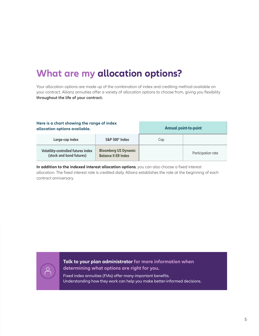### **What are my allocation options?**

Your allocation options are made up of the combination of index and crediting method available on your contract. Allianz annuities offer a variety of allocation options to choose from, giving you flexibility **throughout the life of your contract.**

| Here is a chart showing the range of index<br>allocation options available. |                                                           | <b>Annual point-to-point</b> |                    |
|-----------------------------------------------------------------------------|-----------------------------------------------------------|------------------------------|--------------------|
| Large-cap index                                                             | S&P 500° Index                                            | Cap                          |                    |
| <b>Volatility-controlled futures index</b><br>(stock and bond futures)      | <b>Bloomberg US Dynamic</b><br><b>Balance II ER Index</b> |                              | Participation rate |

**In addition to the indexed interest allocation options**, you can also choose a fixed interest allocation. The fixed interest rate is credited daily. Allianz establishes the rate at the beginning of each contract anniversary.

**Talk to your plan administrator for more information when determining what options are right for you.** 

Fixed index annuities (FIAs) offer many important benefits. Understanding how they work can help you make better-informed decisions.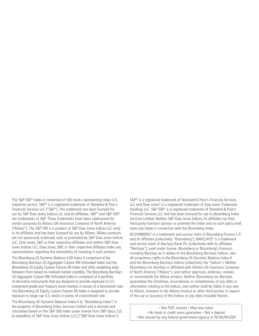The S&P 500® Index is comprised of 500 stocks representing major U.S. industrial sectors. S&P® is a registered trademark of Standard & Poor's Financial Services LLC ("S&P"). This trademark has been licensed for use by S&P Dow Jones Indices LLC and its affiliates. S&P® and S&P 500® are trademarks of S&P. These trademarks have been sublicensed for certain purposes by Allianz Life Insurance Company of North America ("Allianz"). The S&P 500 is a product of S&P Dow Jones Indices LLC and/ or its affiliates and has been licensed for use by Allianz. Allianz products are not sponsored, endorsed, sold, or promoted by S&P Dow Jones Indices LLC, Dow Jones, S&P, or their respective affiliates and neither S&P Dow Jones Indices LLC, Dow Jones, S&P, or their respective affiliates make any representation regarding the advisability of investing in such product.

The Bloomberg US Dynamic Balance II ER Index is comprised of the Bloomberg Barclays US Aggregate Custom RBI Unfunded Index and the Bloomberg US Equity Custom Futures ER Index and shifts weighting daily between them based on realized market volatility. The Bloomberg Barclays US Aggregate Custom RBI Unfunded Index is comprised of a portfolio of derivative instruments that are designed to provide exposure to U.S. investment-grade and Treasury bond markets in excess of a benchmark rate. The Bloomberg US Equity Custom Futures ER Index is designed to provide exposure to large-cap U.S. stocks in excess of a benchmark rate.

The Bloomberg US Dynamic Balance Index II (a "Bloomberg Index") is the property of Bloomberg Index Services Limited and is derived and calculated based on the S&P 500 index under license from S&P Opco, LLC (a subsidiary of S&P Dow Jones Indices LLC) ("S&P Dow Jones Indices").

S&P® is a registered trademark of Standard & Poor's Financial Services LLC and Dow Jones® is a registered trademark of Dow Jones Trademark Holdings LLC. S&P 500® is a registered trademark of Standard & Poor's Financial Services LLC and has been licensed for use to Bloomberg Index Services Limited. Neither S&P Dow Jones Indices, its affiliates nor their third party licensors sponsor or promote the Index and no such party shall have any liable in connection with the Bloomberg Index.

BLOOMBERG® is a trademark and service mark of Bloomberg Finance L.P. and its affiliates (collectively "Bloomberg"). BARCLAYS® is a trademark and service mark of Barclays Bank Plc (collectively with its affiliates, "Barclays"), used under license. Bloomberg or Bloomberg's licensors, including Barclays as it relates to the Bloomberg Barclays Indices, own all proprietary rights in the Bloomberg US Dynamic Balance Index II and the Bloomberg Barclays Indices (collectively the "Indices"). Neither Bloomberg nor Barclays is affiliated with Allianz Life Insurance Company of North America ("Allianz"), and neither approves, endorses, reviews, or recommends the Allianz product. Neither Bloomberg nor Barclays guarantees the timeliness, accurateness or completeness of any data or information relating to the Indices, and neither shall be liable in any way to Allianz, investors in the Allianz product or other third parties in respect of the use or accuracy of the Indices or any data included therein.

• Not FDIC insured • May lose value • No bank or credit union guarantee • Not a deposit • Not insured by any federal government agency or NCUA/NCUSIF